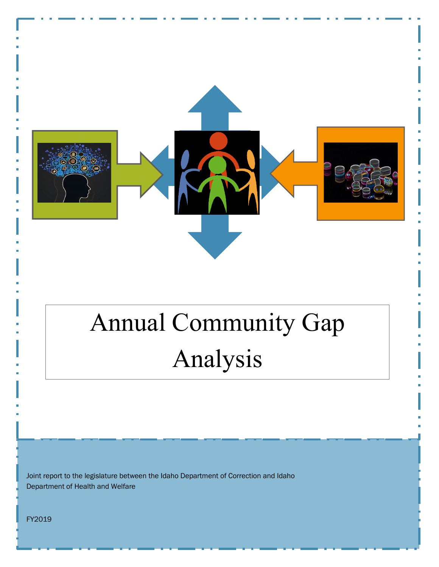

# Annual Community Gap Analysis

Joint report to the legislature between the Idaho Department of Correction and Idaho Department of Health and Welfare

FY2019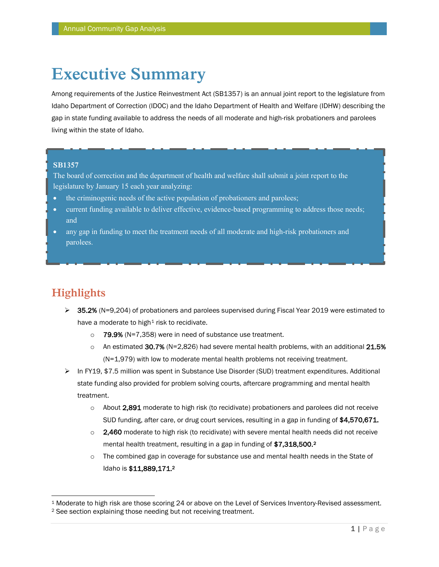# **Executive Summary**

Among requirements of the Justice Reinvestment Act (SB1357) is an annual joint report to the legislature from Idaho Department of Correction (IDOC) and the Idaho Department of Health and Welfare (IDHW) describing the gap in state funding available to address the needs of all moderate and high-risk probationers and parolees living within the state of Idaho.

#### **SB1357**

The board of correction and the department of health and welfare shall submit a joint report to the legislature by January 15 each year analyzing:

- the criminogenic needs of the active population of probationers and parolees;
- current funding available to deliver effective, evidence-based programming to address those needs; and
- any gap in funding to meet the treatment needs of all moderate and high-risk probationers and parolees.

### **Highlights**

- $\geq$  35.2% (N=9,204) of probationers and parolees supervised during Fiscal Year 2019 were estimated to have a moderate to high<sup>[1](#page-1-0)</sup> risk to recidivate.
	- o 79.9% (N=7,358) were in need of substance use treatment.
	- $\circ$  An estimated 30.7% (N=2,826) had severe mental health problems, with an additional 21.5% (N=1,979) with low to moderate mental health problems not receiving treatment.
- ▶ In FY19, \$7.5 million was spent in Substance Use Disorder (SUD) treatment expenditures. Additional state funding also provided for problem solving courts, aftercare programming and mental health treatment.
	- $\circ$  About 2,891 moderate to high risk (to recidivate) probationers and parolees did not receive SUD funding, after care, or drug court services, resulting in a gap in funding of \$4,570,671.
	- $\circ$  2,460 moderate to high risk (to recidivate) with severe mental health needs did not receive mental health treatment, resulting in a gap in funding of \$7,318,500.<sup>[2](#page-1-1)</sup>
	- $\circ$  The combined gap in coverage for substance use and mental health needs in the State of Idaho is \$11,889,171.2

<span id="page-1-0"></span> <sup>1</sup> Moderate to high risk are those scoring 24 or above on the Level of Services Inventory-Revised assessment.

<span id="page-1-1"></span><sup>2</sup> See section explaining those needing but not receiving treatment.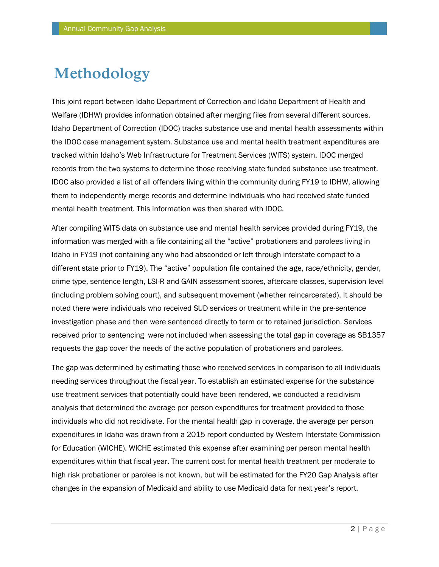# **Methodology**

This joint report between Idaho Department of Correction and Idaho Department of Health and Welfare (IDHW) provides information obtained after merging files from several different sources. Idaho Department of Correction (IDOC) tracks substance use and mental health assessments within the IDOC case management system. Substance use and mental health treatment expenditures are tracked within Idaho's Web Infrastructure for Treatment Services (WITS) system. IDOC merged records from the two systems to determine those receiving state funded substance use treatment. IDOC also provided a list of all offenders living within the community during FY19 to IDHW, allowing them to independently merge records and determine individuals who had received state funded mental health treatment. This information was then shared with IDOC.

After compiling WITS data on substance use and mental health services provided during FY19, the information was merged with a file containing all the "active" probationers and parolees living in Idaho in FY19 (not containing any who had absconded or left through interstate compact to a different state prior to FY19). The "active" population file contained the age, race/ethnicity, gender, crime type, sentence length, LSI-R and GAIN assessment scores, aftercare classes, supervision level (including problem solving court), and subsequent movement (whether reincarcerated). It should be noted there were individuals who received SUD services or treatment while in the pre-sentence investigation phase and then were sentenced directly to term or to retained jurisdiction. Services received prior to sentencing were not included when assessing the total gap in coverage as SB1357 requests the gap cover the needs of the active population of probationers and parolees.

The gap was determined by estimating those who received services in comparison to all individuals needing services throughout the fiscal year. To establish an estimated expense for the substance use treatment services that potentially could have been rendered, we conducted a recidivism analysis that determined the average per person expenditures for treatment provided to those individuals who did not recidivate. For the mental health gap in coverage, the average per person expenditures in Idaho was drawn from a 2015 report conducted by Western Interstate Commission for Education (WICHE). WICHE estimated this expense after examining per person mental health expenditures within that fiscal year. The current cost for mental health treatment per moderate to high risk probationer or parolee is not known, but will be estimated for the FY20 Gap Analysis after changes in the expansion of Medicaid and ability to use Medicaid data for next year's report.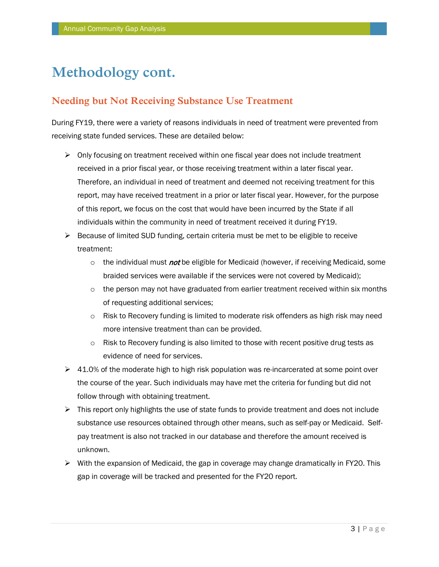# **Methodology cont.**

### **Needing but Not Receiving Substance Use Treatment**

During FY19, there were a variety of reasons individuals in need of treatment were prevented from receiving state funded services. These are detailed below:

- $\triangleright$  Only focusing on treatment received within one fiscal year does not include treatment received in a prior fiscal year, or those receiving treatment within a later fiscal year. Therefore, an individual in need of treatment and deemed not receiving treatment for this report, may have received treatment in a prior or later fiscal year. However, for the purpose of this report, we focus on the cost that would have been incurred by the State if all individuals within the community in need of treatment received it during FY19.
- $\triangleright$  Because of limited SUD funding, certain criteria must be met to be eligible to receive treatment:
	- $\circ$  the individual must *not* be eligible for Medicaid (however, if receiving Medicaid, some braided services were available if the services were not covered by Medicaid);
	- $\circ$  the person may not have graduated from earlier treatment received within six months of requesting additional services;
	- $\circ$  Risk to Recovery funding is limited to moderate risk offenders as high risk may need more intensive treatment than can be provided.
	- $\circ$  Risk to Recovery funding is also limited to those with recent positive drug tests as evidence of need for services.
- $\triangleright$  41.0% of the moderate high to high risk population was re-incarcerated at some point over the course of the year. Such individuals may have met the criteria for funding but did not follow through with obtaining treatment.
- $\triangleright$  This report only highlights the use of state funds to provide treatment and does not include substance use resources obtained through other means, such as self-pay or Medicaid. Selfpay treatment is also not tracked in our database and therefore the amount received is unknown.
- $\triangleright$  With the expansion of Medicaid, the gap in coverage may change dramatically in FY20. This gap in coverage will be tracked and presented for the FY20 report.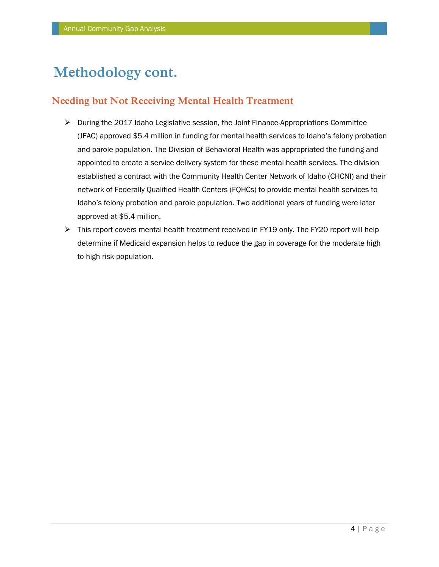# **Methodology cont.**

### **Needing but Not Receiving Mental Health Treatment**

- $\triangleright$  During the 2017 Idaho Legislative session, the Joint Finance-Appropriations Committee (JFAC) approved \$5.4 million in funding for mental health services to Idaho's felony probation and parole population. The Division of Behavioral Health was appropriated the funding and appointed to create a service delivery system for these mental health services. The division established a contract with the Community Health Center Network of Idaho (CHCNI) and their network of Federally Qualified Health Centers (FQHCs) to provide mental health services to Idaho's felony probation and parole population. Two additional years of funding were later approved at \$5.4 million.
- This report covers mental health treatment received in FY19 only. The FY20 report will help determine if Medicaid expansion helps to reduce the gap in coverage for the moderate high to high risk population.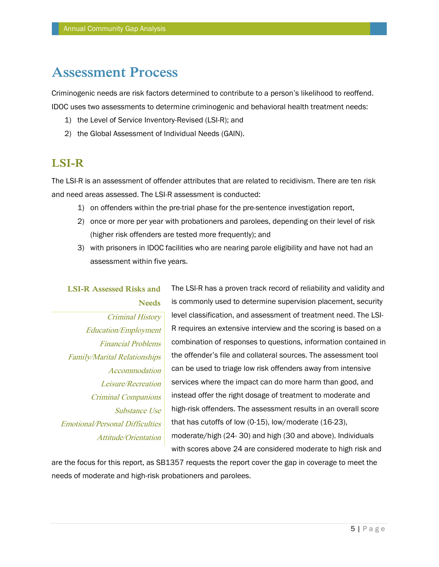# **Assessment Process**

Criminogenic needs are risk factors determined to contribute to a person's likelihood to reoffend. IDOC uses two assessments to determine criminogenic and behavioral health treatment needs:

- 1) the Level of Service Inventory-Revised (LSI-R); and
- 2) the Global Assessment of Individual Needs (GAIN).

### **LSI-R**

The LSI-R is an assessment of offender attributes that are related to recidivism. There are ten risk and need areas assessed. The LSI-R assessment is conducted:

- 1) on offenders within the pre-trial phase for the pre-sentence investigation report,
- 2) once or more per year with probationers and parolees, depending on their level of risk (higher risk offenders are tested more frequently); and
- 3) with prisoners in IDOC facilities who are nearing parole eligibility and have not had an assessment within five years.

The LSI-R has a proven track record of reliability and validity and is commonly used to determine supervision placement, security level classification, and assessment of treatment need. The LSI-R requires an extensive interview and the scoring is based on a combination of responses to questions, information contained in the offender's file and collateral sources. The assessment tool can be used to triage low risk offenders away from intensive services where the impact can do more harm than good, and instead offer the right dosage of treatment to moderate and high-risk offenders. The assessment results in an overall score that has cutoffs of low (0-15), low/moderate (16-23), moderate/high (24- 30) and high (30 and above). Individuals with scores above 24 are considered moderate to high risk and **LSI-R Assessed Risks and Needs** Criminal History Education/Employment Financial Problems Family/Marital Relationships **Accommodation** Leisure/Recreation Criminal Companions Substance Use Emotional/Personal Difficulties Attitude/Orientation

are the focus for this report, as SB1357 requests the report cover the gap in coverage to meet the needs of moderate and high-risk probationers and parolees.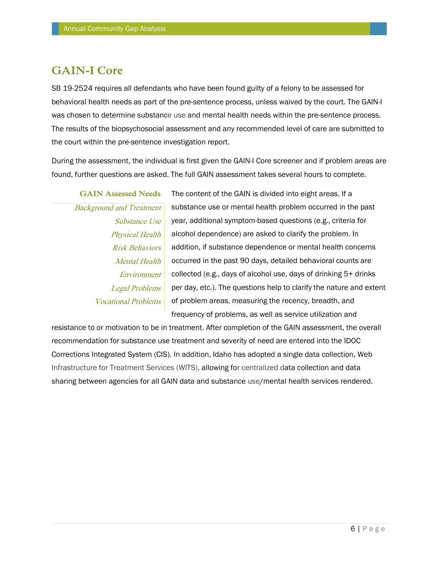### **GAIN-I Core**

SB 19-2524 requires all defendants who have been found guilty of a felony to be assessed for behavioral health needs as part of the pre-sentence process, unless waived by the court. The GAIN-I was chosen to determine substance use and mental health needs within the pre-sentence process. The results of the biopsychosocial assessment and any recommended level of care are submitted to the court within the pre-sentence investigation report.

During the assessment, the individual is first given the GAIN-I Core screener and if problem areas are found, further questions are asked. The full GAIN assessment takes several hours to complete.

**GAIN Assessed Needs** Background and Treatment Substance Use Physical Health Risk Behaviors Mental Health Environment Legal Problems Vocational Problems

The content of the GAIN is divided into eight areas. If a substance use or mental health problem occurred in the past year, additional symptom-based questions (e.g., criteria for alcohol dependence) are asked to clarify the problem. In addition, if substance dependence or mental health concerns occurred in the past 90 days, detailed behavioral counts are collected (e.g., days of alcohol use, days of drinking 5+ drinks per day, etc.). The questions help to clarify the nature and extent of problem areas, measuring the recency, breadth, and frequency of problems, as well as service utilization and

resistance to or motivation to be in treatment. After completion of the GAIN assessment, the overall recommendation for substance use treatment and severity of need are entered into the IDOC Corrections Integrated System (CIS). In addition, Idaho has adopted a single data collection, Web Infrastructure for Treatment Services (WITS), allowing for centralized data collection and data sharing between agencies for all GAIN data and substance use/mental health services rendered.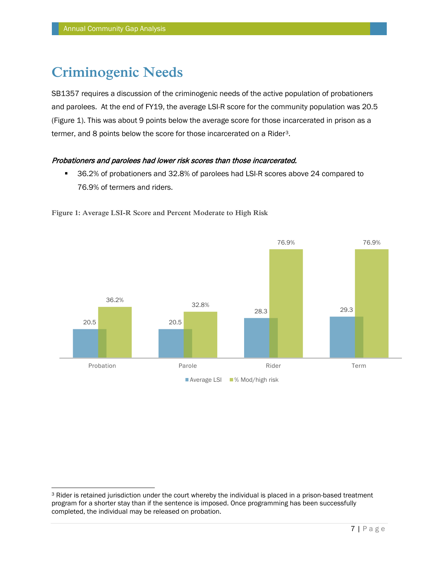# **Criminogenic Needs**

SB1357 requires a discussion of the criminogenic needs of the active population of probationers and parolees. At the end of FY19, the average LSI-R score for the community population was 20.5 (Figure 1). This was about 9 points below the average score for those incarcerated in prison as a termer, and 8 points below the score for those incarcerated on a Rider[3](#page-7-0).

#### Probationers and parolees had lower risk scores than those incarcerated.

 36.2% of probationers and 32.8% of parolees had LSI-R scores above 24 compared to 76.9% of termers and riders.



**Figure 1: Average LSI-R Score and Percent Moderate to High Risk**

<span id="page-7-0"></span><sup>&</sup>lt;sup>3</sup> Rider is retained jurisdiction under the court whereby the individual is placed in a prison-based treatment program for a shorter stay than if the sentence is imposed. Once programming has been successfully completed, the individual may be released on probation.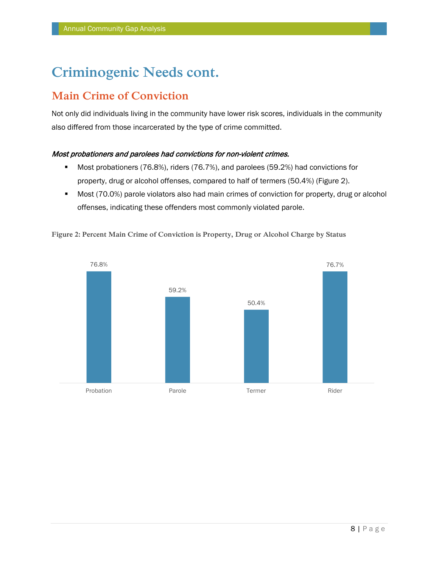# **Criminogenic Needs cont.**

### **Main Crime of Conviction**

Not only did individuals living in the community have lower risk scores, individuals in the community also differed from those incarcerated by the type of crime committed.

#### Most probationers and parolees had convictions for non-violent crimes.

- Most probationers (76.8%), riders (76.7%), and parolees (59.2%) had convictions for property, drug or alcohol offenses, compared to half of termers (50.4%) (Figure 2).
- Most (70.0%) parole violators also had main crimes of conviction for property, drug or alcohol offenses, indicating these offenders most commonly violated parole.



**Figure 2: Percent Main Crime of Conviction is Property, Drug or Alcohol Charge by Status**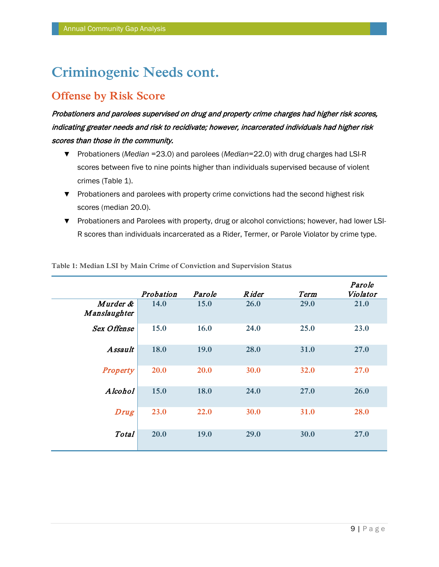# **Criminogenic Needs cont.**

### **Offense by Risk Score**

Probationers and parolees supervised on drug and property crime charges had higher risk scores, indicating greater needs and risk to recidivate; however, incarcerated individuals had higher risk scores than those in the community.

- ▼ Probationers (*Median* =23.0) and parolees (*Median*=22.0) with drug charges had LSI-R scores between five to nine points higher than individuals supervised because of violent crimes (Table 1).
- ▼ Probationers and parolees with property crime convictions had the second highest risk scores (median 20.0).
- ▼ Probationers and Parolees with property, drug or alcohol convictions; however, had lower LSI-R scores than individuals incarcerated as a Rider, Termer, or Parole Violator by crime type.

|                          | Probation   | Parole      | <b>Rider</b> | Term        | Parole<br>Violator |
|--------------------------|-------------|-------------|--------------|-------------|--------------------|
| Murder &<br>Manslaughter | 14.0        | <b>15.0</b> | <b>26.0</b>  | 29.0        | 21.0               |
| <b>Sex Offense</b>       | 15.0        | 16.0        | 24.0         | 25.0        | 23.0               |
| <b>Assault</b>           | 18.0        | 19.0        | 28.0         | 31.0        | 27.0               |
| <b>Property</b>          | <b>20.0</b> | <b>20.0</b> | 30.0         | 32.0        | 27.0               |
| Alcohol                  | 15.0        | 18.0        | 24.0         | 27.0        | 26.0               |
| <b>Drug</b>              | 23.0        | 22.0        | 30.0         | <b>31.0</b> | 28.0               |
| <b>Total</b>             | 20.0        | 19.0        | 29.0         | 30.0        | 27.0               |

**Table 1: Median LSI by Main Crime of Conviction and Supervision Status**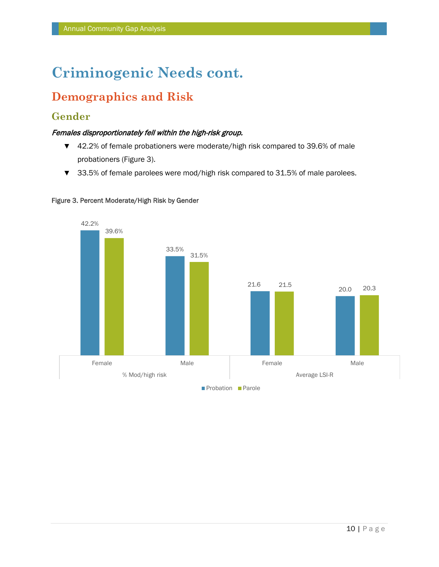# **Criminogenic Needs cont.**

# **Demographics and Risk**

### **Gender**

#### Females disproportionately fell within the high-risk group.

- ▼ 42.2% of female probationers were moderate/high risk compared to 39.6% of male probationers (Figure 3).
- ▼ 33.5% of female parolees were mod/high risk compared to 31.5% of male parolees.



#### Figure 3. Percent Moderate/High Risk by Gender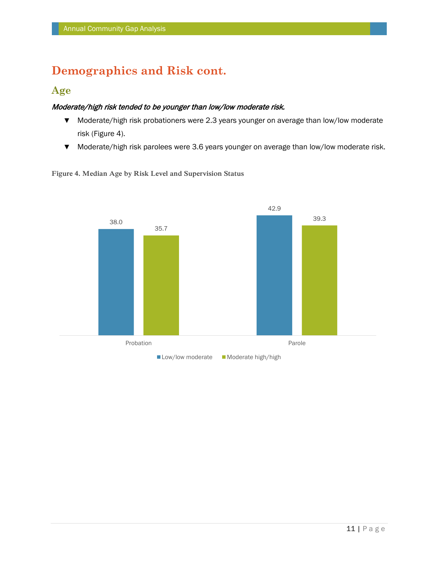# **Demographics and Risk cont.**

### **Age**

#### Moderate/high risk tended to be younger than low/low moderate risk.

- ▼ Moderate/high risk probationers were 2.3 years younger on average than low/low moderate risk (Figure 4).
- ▼ Moderate/high risk parolees were 3.6 years younger on average than low/low moderate risk.



**Figure 4. Median Age by Risk Level and Supervision Status**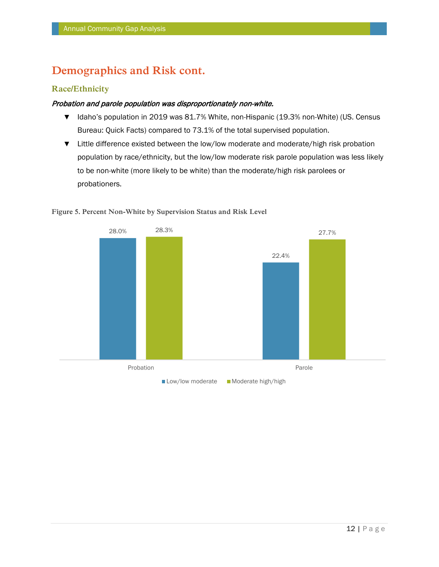### **Demographics and Risk cont.**

#### **Race/Ethnicity**

#### Probation and parole population was disproportionately non-white.

- ▼ Idaho's population in 2019 was 81.7% White, non-Hispanic (19.3% non-White) (US. Census Bureau: Quick Facts) compared to 73.1% of the total supervised population.
- ▼ Little difference existed between the low/low moderate and moderate/high risk probation population by race/ethnicity, but the low/low moderate risk parole population was less likely to be non-white (more likely to be white) than the moderate/high risk parolees or probationers.



#### **Figure 5. Percent Non-White by Supervision Status and Risk Level**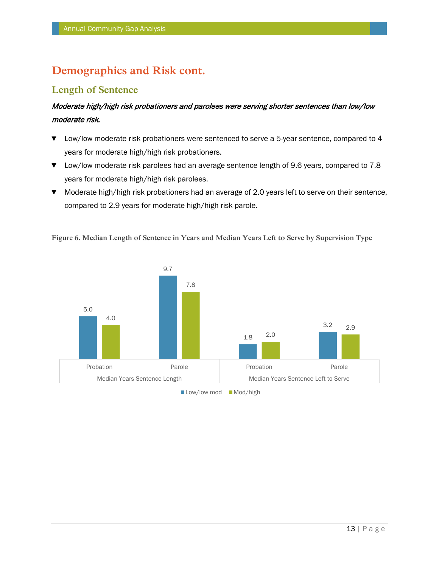### **Demographics and Risk cont.**

### **Length of Sentence**

### Moderate high/high risk probationers and parolees were serving shorter sentences than low/low moderate risk.

- ▼ Low/low moderate risk probationers were sentenced to serve a 5-year sentence, compared to 4 years for moderate high/high risk probationers.
- ▼ Low/low moderate risk parolees had an average sentence length of 9.6 years, compared to 7.8 years for moderate high/high risk parolees.
- ▼ Moderate high/high risk probationers had an average of 2.0 years left to serve on their sentence, compared to 2.9 years for moderate high/high risk parole.



**Figure 6. Median Length of Sentence in Years and Median Years Left to Serve by Supervision Type**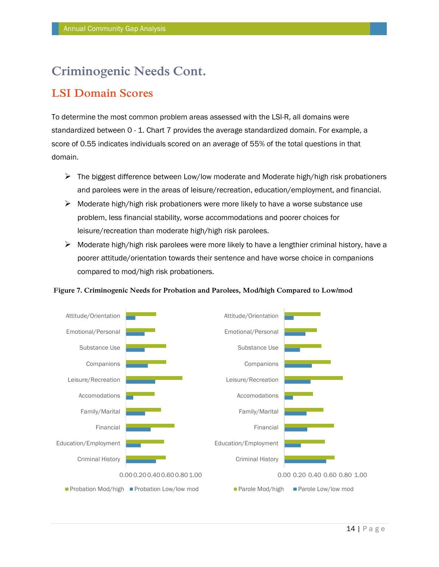# **Criminogenic Needs Cont.**

### **LSI Domain Scores**

To determine the most common problem areas assessed with the LSI-R, all domains were standardized between 0 - 1. Chart 7 provides the average standardized domain. For example, a score of 0.55 indicates individuals scored on an average of 55% of the total questions in that domain.

- $\triangleright$  The biggest difference between Low/low moderate and Moderate high/high risk probationers and parolees were in the areas of leisure/recreation, education/employment, and financial.
- $\triangleright$  Moderate high/high risk probationers were more likely to have a worse substance use problem, less financial stability, worse accommodations and poorer choices for leisure/recreation than moderate high/high risk parolees.
- $\triangleright$  Moderate high/high risk parolees were more likely to have a lengthier criminal history, have a poorer attitude/orientation towards their sentence and have worse choice in companions compared to mod/high risk probationers.



#### **Figure 7. Criminogenic Needs for Probation and Parolees, Mod/high Compared to Low/mod**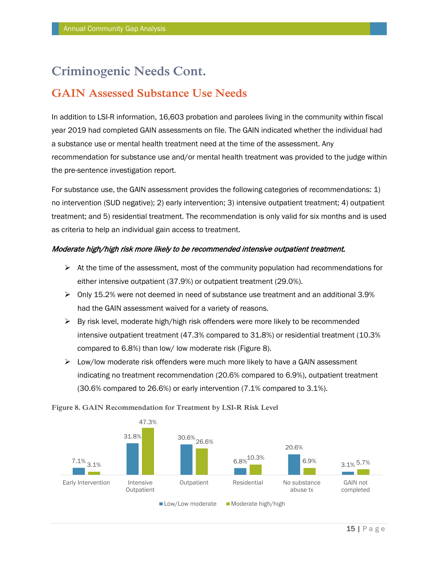# **Criminogenic Needs Cont.**

### **GAIN Assessed Substance Use Needs**

In addition to LSI-R information, 16,603 probation and parolees living in the community within fiscal year 2019 had completed GAIN assessments on file. The GAIN indicated whether the individual had a substance use or mental health treatment need at the time of the assessment. Any recommendation for substance use and/or mental health treatment was provided to the judge within the pre-sentence investigation report.

For substance use, the GAIN assessment provides the following categories of recommendations: 1) no intervention (SUD negative); 2) early intervention; 3) intensive outpatient treatment; 4) outpatient treatment; and 5) residential treatment. The recommendation is only valid for six months and is used as criteria to help an individual gain access to treatment.

#### Moderate high/high risk more likely to be recommended intensive outpatient treatment.

- $\triangleright$  At the time of the assessment, most of the community population had recommendations for either intensive outpatient (37.9%) or outpatient treatment (29.0%).
- $\triangleright$  Only 15.2% were not deemed in need of substance use treatment and an additional 3.9% had the GAIN assessment waived for a variety of reasons.
- $\triangleright$  By risk level, moderate high/high risk offenders were more likely to be recommended intensive outpatient treatment (47.3% compared to 31.8%) or residential treatment (10.3% compared to 6.8%) than low/ low moderate risk (Figure 8).
- $\triangleright$  Low/low moderate risk offenders were much more likely to have a GAIN assessment indicating no treatment recommendation (20.6% compared to 6.9%), outpatient treatment (30.6% compared to 26.6%) or early intervention (7.1% compared to 3.1%).



**Figure 8. GAIN Recommendation for Treatment by LSI-R Risk Level**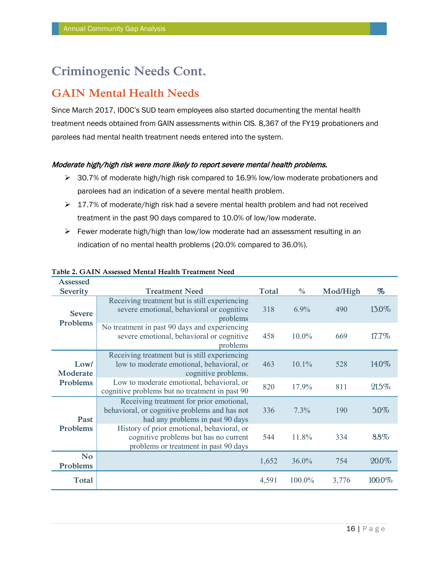# **Criminogenic Needs Cont.**

### **GAIN Mental Health Needs**

Since March 2017, IDOC's SUD team employees also started documenting the mental health treatment needs obtained from GAIN assessments within CIS. 8,367 of the FY19 probationers and parolees had mental health treatment needs entered into the system.

#### Moderate high/high risk were more likely to report severe mental health problems.

- $\triangleright$  30.7% of moderate high/high risk compared to 16.9% low/low moderate probationers and parolees had an indication of a severe mental health problem.
- $\geq 17.7\%$  of moderate/high risk had a severe mental health problem and had not received treatment in the past 90 days compared to 10.0% of low/low moderate.
- Fewer moderate high/high than low/low moderate had an assessment resulting in an indication of no mental health problems (20.0% compared to 36.0%).

| Assessed                     |                                                                                                                               |              |               |          |        |
|------------------------------|-------------------------------------------------------------------------------------------------------------------------------|--------------|---------------|----------|--------|
| <b>Severity</b>              | <b>Treatment Need</b>                                                                                                         | <b>Total</b> | $\frac{0}{0}$ | Mod/High | %      |
| <b>Severe</b>                | Receiving treatment but is still experiencing<br>severe emotional, behavioral or cognitive<br>problems                        | 318          | 6.9%          | 490      | 13.0%  |
| Problems                     | No treatment in past 90 days and experiencing<br>severe emotional, behavioral or cognitive<br>problems                        | 458          | $10.0\%$      | 669      | 17.7%  |
| Low/<br>Moderate             | Receiving treatment but is still experiencing<br>low to moderate emotional, behavioral, or<br>cognitive problems.             | 463          | $10.1\%$      | 528      | 14.0%  |
| <b>Problems</b>              | Low to moderate emotional, behavioral, or<br>cognitive problems but no treatment in past 90                                   | 820          | 17.9%         | 811      | 21.5%  |
| Past                         | Receiving treatment for prior emotional,<br>behavioral, or cognitive problems and has not<br>had any problems in past 90 days | 336          | 7.3%          | 190      | 5.0%   |
| Problems                     | History of prior emotional, behavioral, or<br>cognitive problems but has no current<br>problems or treatment in past 90 days  | 544          | 11.8%         | 334      | 8.8%   |
| <b>No</b><br><b>Problems</b> |                                                                                                                               | 1,652        | $36.0\%$      | 754      | 20.0%  |
| <b>Total</b>                 |                                                                                                                               | 4,591        | 100.0%        | 3,776    | 100.0% |

#### **Table 2. GAIN Assessed Mental Health Treatment Need**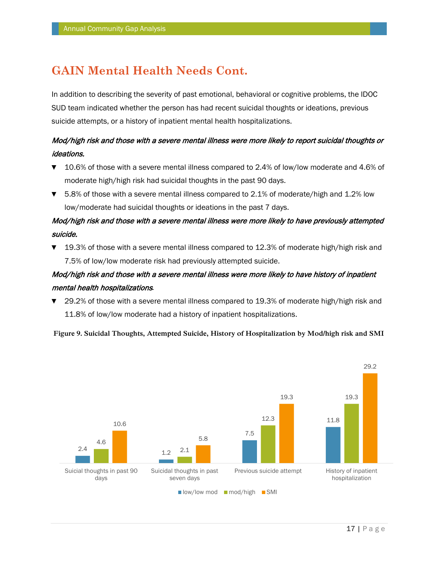# **GAIN Mental Health Needs Cont.**

In addition to describing the severity of past emotional, behavioral or cognitive problems, the IDOC SUD team indicated whether the person has had recent suicidal thoughts or ideations, previous suicide attempts, or a history of inpatient mental health hospitalizations.

### Mod/high risk and those with a severe mental illness were more likely to report suicidal thoughts or ideations.

- ▼ 10.6% of those with a severe mental illness compared to 2.4% of low/low moderate and 4.6% of moderate high/high risk had suicidal thoughts in the past 90 days.
- ▼ 5.8% of those with a severe mental illness compared to 2.1% of moderate/high and 1.2% low low/moderate had suicidal thoughts or ideations in the past 7 days.

### Mod/high risk and those with a severe mental illness were more likely to have previously attempted suicide.

▼ 19.3% of those with a severe mental illness compared to 12.3% of moderate high/high risk and 7.5% of low/low moderate risk had previously attempted suicide.

### Mod/high risk and those with a severe mental illness were more likely to have history of inpatient mental health hospitalizations*.*

▼ 29.2% of those with a severe mental illness compared to 19.3% of moderate high/high risk and 11.8% of low/low moderate had a history of inpatient hospitalizations.

**Figure 9. Suicidal Thoughts, Attempted Suicide, History of Hospitalization by Mod/high risk and SMI**

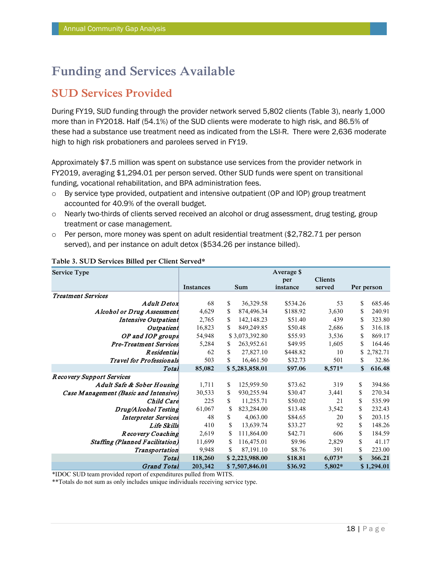### **SUD Services Provided**

During FY19, SUD funding through the provider network served 5,802 clients (Table 3), nearly 1,000 more than in FY2018. Half (54.1%) of the SUD clients were moderate to high risk, and 86.5% of these had a substance use treatment need as indicated from the LSI-R. There were 2,636 moderate high to high risk probationers and parolees served in FY19.

Approximately \$7.5 million was spent on substance use services from the provider network in FY2019, averaging \$1,294.01 per person served. Other SUD funds were spent on transitional funding, vocational rehabilitation, and BPA administration fees.

- $\circ$  By service type provided, outpatient and intensive outpatient (OP and IOP) group treatment accounted for 40.9% of the overall budget.
- o Nearly two-thirds of clients served received an alcohol or drug assessment, drug testing, group treatment or case management.
- $\circ$  Per person, more money was spent on adult residential treatment (\$2,782.71 per person served), and per instance on adult detox (\$534.26 per instance billed).

| <b>Service Type</b>                    | Average \$ |               |                |          |                |    |            |
|----------------------------------------|------------|---------------|----------------|----------|----------------|----|------------|
|                                        |            |               |                | per      | <b>Clients</b> |    |            |
|                                        | Instances  |               | <b>Sum</b>     | instance | served         |    | Per person |
| <b>Treatment Services</b>              |            |               |                |          |                |    |            |
| A dult Detox                           | 68         | \$            | 36,329.58      | \$534.26 | 53             | \$ | 685.46     |
| <b>Alcohol or Drug Assessment</b>      | 4,629      | \$            | 874,496.34     | \$188.92 | 3,630          | \$ | 240.91     |
| Intensive Outpatient                   | 2,765      | S             | 142, 148. 23   | \$51.40  | 439            | \$ | 323.80     |
| Outpatient                             | 16,823     | \$            | 849,249.85     | \$50.48  | 2,686          | \$ | 316.18     |
| OP and IOP groups                      | 54,948     |               | \$3,073,392.80 | \$55.93  | 3,536          | \$ | 869.17     |
| <b>Pre-Treatment Services</b>          | 5,284      | <sup>\$</sup> | 263,952.61     | \$49.95  | 1,605          | \$ | 164.46     |
| R esidential                           | 62         | \$            | 27,827.10      | \$448.82 | 10             |    | \$2,782.71 |
| <b>Travel for Professionals</b>        | 503        | \$            | 16,461.50      | \$32.73  | 501            | \$ | 32.86      |
| <b>Total</b>                           | 85,082     |               | \$5,283,858.01 | \$97.06  | $8,571*$       | \$ | 616.48     |
| Recovery Support Services              |            |               |                |          |                |    |            |
| Adult Safe & Sober Housing             | 1,711      | \$            | 125,959.50     | \$73.62  | 319            | \$ | 394.86     |
| Case Management (Basic and Intensive)  | 30,533     | \$            | 930,255.94     | \$30.47  | 3,441          | \$ | 270.34     |
| Child Care                             | 225        | \$            | 11,255.71      | \$50.02  | 21             | \$ | 535.99     |
| Drug/Alcohol Testing                   | 61,067     | S             | 823,284.00     | \$13.48  | 3,542          | \$ | 232.43     |
| <b>Interpreter Services</b>            | 48         | \$            | 4,063.00       | \$84.65  | 20             | \$ | 203.15     |
| <b>Life Skills</b>                     | 410        | \$            | 13,639.74      | \$33.27  | 92             | \$ | 148.26     |
| Recovery Coaching                      | 2,619      | S             | 111,864.00     | \$42.71  | 606            | \$ | 184.59     |
| <b>Staffing (Planned Facilitation)</b> | 11,699     | S             | 116,475.01     | \$9.96   | 2,829          | \$ | 41.17      |
| <b>Transportation</b>                  | 9,948      | \$            | 87,191.10      | \$8.76   | 391            | \$ | 223.00     |
| Total                                  | 118,260    |               | \$2,223,988.00 | \$18.81  | $6,073*$       | \$ | 366.21     |
| <b>Grand Total</b>                     | 203,342    |               | \$7,507,846.01 | \$36.92  | 5,802*         |    | \$1,294.01 |

#### **Table 3. SUD Services Billed per Client Served\***

\*IDOC SUD team provided report of expenditures pulled from WITS.

\*\*Totals do not sum as only includes unique individuals receiving service type.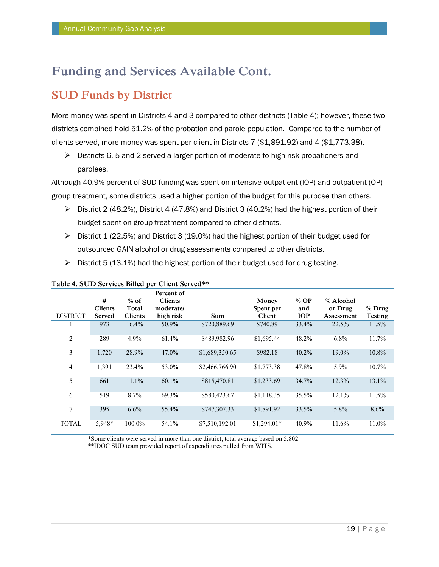### **SUD Funds by District**

More money was spent in Districts 4 and 3 compared to other districts (Table 4); however, these two districts combined hold 51.2% of the probation and parole population. Compared to the number of clients served, more money was spent per client in Districts 7 (\$1,891.92) and 4 (\$1,773.38).

 $\triangleright$  Districts 6, 5 and 2 served a larger portion of moderate to high risk probationers and parolees.

Although 40.9% percent of SUD funding was spent on intensive outpatient (IOP) and outpatient (OP) group treatment, some districts used a higher portion of the budget for this purpose than others.

- $\triangleright$  District 2 (48.2%), District 4 (47.8%) and District 3 (40.2%) had the highest portion of their budget spent on group treatment compared to other districts.
- $\triangleright$  District 1 (22.5%) and District 3 (19.0%) had the highest portion of their budget used for outsourced GAIN alcohol or drug assessments compared to other districts.
- $\triangleright$  District 5 (13.1%) had the highest portion of their budget used for drug testing.

|                 |                     |                 | Percent of                  |                |                    |               |                      |                |
|-----------------|---------------------|-----------------|-----------------------------|----------------|--------------------|---------------|----------------------|----------------|
|                 | #<br><b>Clients</b> | $%$ of<br>Total | <b>Clients</b><br>moderate/ |                | Money<br>Spent per | $%$ OP<br>and | % Alcohol<br>or Drug | $%$ Drug       |
| <b>DISTRICT</b> | Served              | <b>Clients</b>  | high risk                   | Sum            | Client             | <b>IOP</b>    | Assessment           | <b>Testing</b> |
| 1               | 973                 | 16.4%           | 50.9%                       | \$720,889.69   | \$740.89           | 33.4%         | 22.5%                | 11.5%          |
| $\overline{c}$  | 289                 | 4.9%            | 61.4%                       | \$489,982.96   | \$1,695.44         | 48.2%         | $6.8\%$              | 11.7%          |
| 3               | 1,720               | 28.9%           | 47.0%                       | \$1,689,350.65 | \$982.18           | 40.2%         | 19.0%                | 10.8%          |
| $\overline{4}$  | 1,391               | 23.4%           | 53.0%                       | \$2,466,766.90 | \$1,773.38         | 47.8%         | 5.9%                 | $10.7\%$       |
| 5               | 661                 | 11.1%           | 60.1%                       | \$815,470.81   | \$1,233.69         | 34.7%         | 12.3%                | 13.1%          |
| 6               | 519                 | 8.7%            | 69.3%                       | \$580,423.67   | \$1,118.35         | 35.5%         | 12.1%                | 11.5%          |
| 7               | 395                 | 6.6%            | 55.4%                       | \$747,307.33   | \$1,891.92         | 33.5%         | 5.8%                 | 8.6%           |
| <b>TOTAL</b>    | 5,948*              | 100.0%          | 54.1%                       | \$7,510,192.01 | $$1,294.01*$       | 40.9%         | 11.6%                | 11.0%          |

#### **Table 4. SUD Services Billed per Client Served\*\***

\*Some clients were served in more than one district, total average based on 5,802

\*\*IDOC SUD team provided report of expenditures pulled from WITS.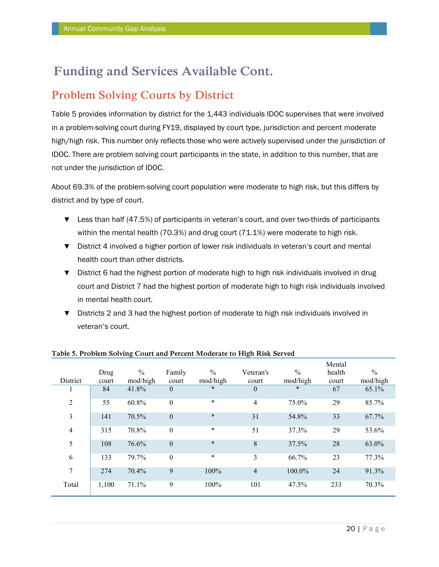### **Problem Solving Courts by District**

Table 5 provides information by district for the 1,443 individuals IDOC supervises that were involved in a problem-solving court during FY19, displayed by court type, jurisdiction and percent moderate high/high risk. This number only reflects those who were actively supervised under the jurisdiction of IDOC. There are problem solving court participants in the state, in addition to this number, that are not under the jurisdiction of IDOC.

About 69.3% of the problem-solving court population were moderate to high risk, but this differs by district and by type of court.

- ▼ Less than half (47.5%) of participants in veteran's court, and over two-thirds of participants within the mental health (70.3%) and drug court (71.1%) were moderate to high risk.
- ▼ District 4 involved a higher portion of lower risk individuals in veteran's court and mental health court than other districts.
- ▼ District 6 had the highest portion of moderate high to high risk individuals involved in drug court and District 7 had the highest portion of moderate high to high risk individuals involved in mental health court.
- ▼ Districts 2 and 3 had the highest portion of moderate to high risk individuals involved in veteran's court.

|                |       |               |                  |               |                |               | Mental |               |
|----------------|-------|---------------|------------------|---------------|----------------|---------------|--------|---------------|
|                | Drug  | $\frac{0}{0}$ | Family           | $\frac{0}{0}$ | Veteran's      | $\frac{0}{0}$ | health | $\frac{0}{0}$ |
| District       | court | mod/high      | court            | mod/high      | court          | mod/high      | court  | mod/high      |
| л.             | 84    | 41.8%         | $\overline{0}$   | $\ast$        | $\theta$       | $\ast$        | 67     | 65.1%         |
| $\overline{2}$ | 55    | 60.8%         | $\boldsymbol{0}$ | $\star$       | 4              | 75.0%         | 29     | 85.7%         |
| 3              | 141   | 70.5%         | $\boldsymbol{0}$ | $\ast$        | 31             | 54.8%         | 33     | 67.7%         |
| $\overline{4}$ | 315   | 70.8%         | $\boldsymbol{0}$ | $\star$       | 51             | 37.3%         | 29     | 53.6%         |
| 5              | 108   | 76.6%         | $\mathbf{0}$     | $\ast$        | $8\,$          | 37.5%         | 28     | 63.0%         |
| 6              | 133   | 79.7%         | $\boldsymbol{0}$ | $\ast$        | 3              | 66.7%         | 23     | 77.3%         |
| 7              | 274   | 70.4%         | 9                | 100%          | $\overline{4}$ | 100.0%        | 24     | 91.3%         |
| Total          | 1,100 | 71.1%         | 9                | 100%          | 101            | 47.5%         | 233    | 70.3%         |

#### **Table 5. Problem Solving Court and Percent Moderate to High Risk Served**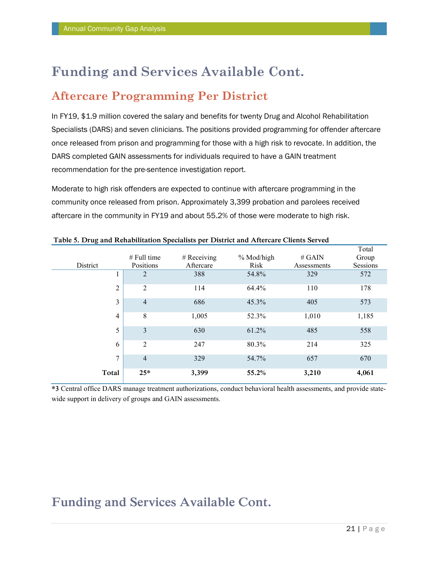### **Aftercare Programming Per District**

In FY19, \$1.9 million covered the salary and benefits for twenty Drug and Alcohol Rehabilitation Specialists (DARS) and seven clinicians. The positions provided programming for offender aftercare once released from prison and programming for those with a high risk to revocate. In addition, the DARS completed GAIN assessments for individuals required to have a GAIN treatment recommendation for the pre-sentence investigation report.

Moderate to high risk offenders are expected to continue with aftercare programming in the community once released from prison. Approximately 3,399 probation and parolees received aftercare in the community in FY19 and about 55.2% of those were moderate to high risk.

|                |                |               |            |             | Total    |
|----------------|----------------|---------------|------------|-------------|----------|
|                | $#$ Full time  | $#$ Receiving | % Mod/high | # $GAIN$    | Group    |
| District       | Positions      | Aftercare     | Risk       | Assessments | Sessions |
|                | 2              | 388           | 54.8%      | 329         | 572      |
| $\overline{2}$ | $\overline{2}$ | 114           | 64.4%      | 110         | 178      |
| 3              | $\overline{4}$ | 686           | 45.3%      | 405         | 573      |
| 4              | $\,$ 8 $\,$    | 1,005         | 52.3%      | 1,010       | 1,185    |
| 5              | 3              | 630           | 61.2%      | 485         | 558      |
| 6              | 2              | 247           | 80.3%      | 214         | 325      |
| 7              | $\overline{4}$ | 329           | 54.7%      | 657         | 670      |
| Total          | $25*$          | 3,399         | 55.2%      | 3,210       | 4,061    |

#### **Table 5. Drug and Rehabilitation Specialists per District and Aftercare Clients Served**

**\*3** Central office DARS manage treatment authorizations, conduct behavioral health assessments, and provide statewide support in delivery of groups and GAIN assessments.

# **Funding and Services Available Cont.**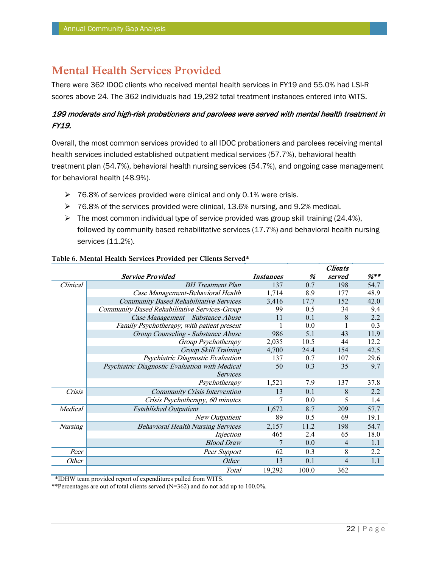### **Mental Health Services Provided**

There were 362 IDOC clients who received mental health services in FY19 and 55.0% had LSI-R scores above 24. The 362 individuals had 19,292 total treatment instances entered into WITS.

#### 199 moderate and high-risk probationers and parolees were served with mental health treatment in FY19.

Overall, the most common services provided to all IDOC probationers and parolees receiving mental health services included established outpatient medical services (57.7%), behavioral health treatment plan (54.7%), behavioral health nursing services (54.7%), and ongoing case management for behavioral health (48.9%).

- $\geq 76.8\%$  of services provided were clinical and only 0.1% were crisis.
- $\triangleright$  76.8% of the services provided were clinical, 13.6% nursing, and 9.2% medical.
- $\triangleright$  The most common individual type of service provided was group skill training (24.4%), followed by community based rehabilitative services (17.7%) and behavioral health nursing services (11.2%).

|                |                                                |           |       | <i><b>Chenis</b></i> |                  |
|----------------|------------------------------------------------|-----------|-------|----------------------|------------------|
|                | Service Provided                               | Instances | %     | served               | $\frac{9}{8}$ ** |
| Clinical       | <b>BH</b> Treatment Plan                       | 137       | 0.7   | 198                  | 54.7             |
|                | Case Management-Behavioral Health              | 1,714     | 8.9   | 177                  | 48.9             |
|                | <b>Community Based Rehabilitative Services</b> | 3,416     | 17.7  | 152                  | 42.0             |
|                | Community Based Rehabilitative Services-Group  | 99        | 0.5   | 34                   | 9.4              |
|                | Case Management - Substance Abuse              | 11        | 0.1   | 8                    | 2.2              |
|                | Family Psychotherapy, with patient present     |           | 0.0   |                      | 0.3              |
|                | Group Counseling - Substance Abuse             | 986       | 5.1   | 43                   | 11.9             |
|                | Group Psychotherapy                            | 2,035     | 10.5  | 44                   | 12.2             |
|                | Group Skill Training                           | 4,700     | 24.4  | 154                  | 42.5             |
|                | Psychiatric Diagnostic Evaluation              | 137       | 0.7   | 107                  | 29.6             |
|                | Psychiatric Diagnostic Evaluation with Medical | 50        | 0.3   | 35                   | 9.7              |
|                | <b>Services</b>                                |           |       |                      |                  |
|                | Psychotherapy                                  | 1,521     | 7.9   | 137                  | 37.8             |
| Crisis         | <b>Community Crisis Intervention</b>           | 13        | 0.1   | 8                    | 2.2              |
|                | Crisis Psychotherapy, 60 minutes               |           | 0.0   | 5                    | 1.4              |
| Medical        | <b>Established Outpatient</b>                  | 1,672     | 8.7   | 209                  | 57.7             |
|                | New Outpatient                                 | 89        | 0.5   | 69                   | 19.1             |
| <b>Nursing</b> | <b>Behavioral Health Nursing Services</b>      | 2,157     | 11.2  | 198                  | 54.7             |
|                | Injection                                      | 465       | 2.4   | 65                   | 18.0             |
|                | <b>Blood Draw</b>                              |           | 0.0   | 4                    | 1.1              |
| Peer           | Peer Support                                   | 62        | 0.3   | 8                    | 2.2              |
| Other          | <i>Other</i>                                   | 13        | 0.1   | 4                    | 1.1              |
|                | Total                                          | 19,292    | 100.0 | 362                  |                  |

#### **Table 6. Mental Health Services Provided per Clients Served\***

\*IDHW team provided report of expenditures pulled from WITS.

\*\*Percentages are out of total clients served (N=362) and do not add up to 100.0%.

 $\overline{C}$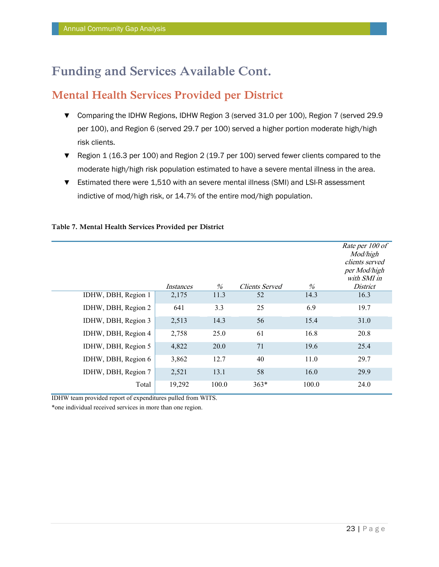### **Mental Health Services Provided per District**

- ▼ Comparing the IDHW Regions, IDHW Region 3 (served 31.0 per 100), Region 7 (served 29.9 per 100), and Region 6 (served 29.7 per 100) served a higher portion moderate high/high risk clients.
- ▼ Region 1 (16.3 per 100) and Region 2 (19.7 per 100) served fewer clients compared to the moderate high/high risk population estimated to have a severe mental illness in the area.
- ▼ Estimated there were 1,510 with an severe mental illness (SMI) and LSI-R assessment indictive of mod/high risk, or 14.7% of the entire mod/high population.

|                     | Instances | $\%$  | Clients Served | %     | Rate per 100 of<br>Mod/high<br>clients served<br>per Mod/high<br>with SMI in<br><i>District</i> |
|---------------------|-----------|-------|----------------|-------|-------------------------------------------------------------------------------------------------|
| IDHW, DBH, Region 1 | 2,175     | 11.3  | 52             | 14.3  | 16.3                                                                                            |
| IDHW, DBH, Region 2 | 641       | 3.3   | 25             | 6.9   | 19.7                                                                                            |
| IDHW, DBH, Region 3 | 2,513     | 14.3  | 56             | 15.4  | 31.0                                                                                            |
| IDHW, DBH, Region 4 | 2,758     | 25.0  | 61             | 16.8  | 20.8                                                                                            |
| IDHW, DBH, Region 5 | 4,822     | 20.0  | 71             | 19.6  | 25.4                                                                                            |
| IDHW, DBH, Region 6 | 3,862     | 12.7  | 40             | 11.0  | 29.7                                                                                            |
| IDHW, DBH, Region 7 | 2,521     | 13.1  | 58             | 16.0  | 29.9                                                                                            |
| Total               | 19,292    | 100.0 | $363*$         | 100.0 | 24.0                                                                                            |

#### **Table 7. Mental Health Services Provided per District**

IDHW team provided report of expenditures pulled from WITS.

\*one individual received services in more than one region.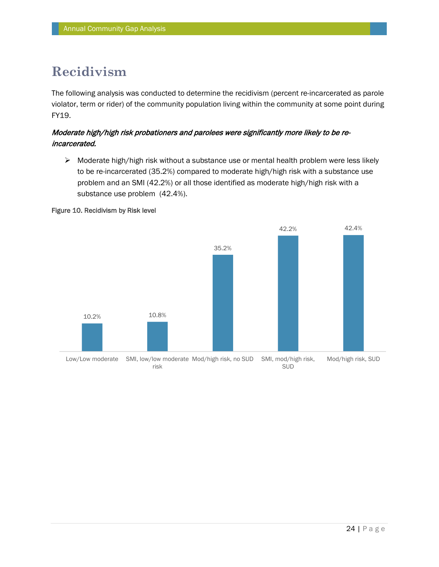# **Recidivism**

The following analysis was conducted to determine the recidivism (percent re-incarcerated as parole violator, term or rider) of the community population living within the community at some point during FY19.

#### Moderate high/high risk probationers and parolees were significantly more likely to be reincarcerated.

 $\triangleright$  Moderate high/high risk without a substance use or mental health problem were less likely to be re-incarcerated (35.2%) compared to moderate high/high risk with a substance use problem and an SMI (42.2%) or all those identified as moderate high/high risk with a substance use problem (42.4%).

#### Figure 10. Recidivism by Risk level

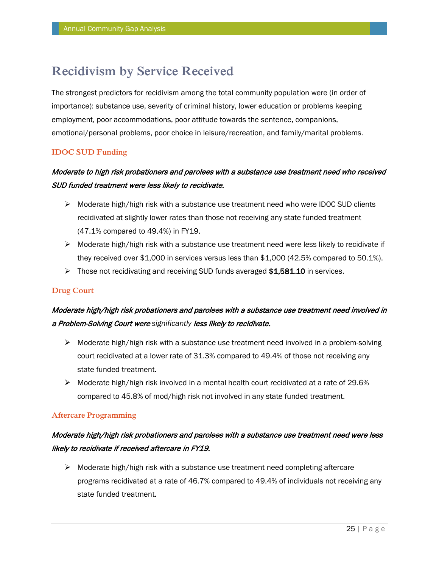# **Recidivism by Service Received**

The strongest predictors for recidivism among the total community population were (in order of importance): substance use, severity of criminal history, lower education or problems keeping employment, poor accommodations, poor attitude towards the sentence, companions, emotional/personal problems, poor choice in leisure/recreation, and family/marital problems.

#### **IDOC SUD Funding**

### Moderate to high risk probationers and parolees with a substance use treatment need who received SUD funded treatment were less likely to recidivate.

- $\triangleright$  Moderate high/high risk with a substance use treatment need who were IDOC SUD clients recidivated at slightly lower rates than those not receiving any state funded treatment (47.1% compared to 49.4%) in FY19.
- $\triangleright$  Moderate high/high risk with a substance use treatment need were less likely to recidivate if they received over \$1,000 in services versus less than \$1,000 (42.5% compared to 50.1%).
- $\triangleright$  Those not recidivating and receiving SUD funds averaged \$1,581.10 in services.

#### **Drug Court**

### Moderate high/high risk probationers and parolees with a substance use treatment need involved in a Problem-Solving Court were *significantly* less likely to recidivate.

- $\triangleright$  Moderate high/high risk with a substance use treatment need involved in a problem-solving court recidivated at a lower rate of 31.3% compared to 49.4% of those not receiving any state funded treatment.
- $\triangleright$  Moderate high/high risk involved in a mental health court recidivated at a rate of 29.6% compared to 45.8% of mod/high risk not involved in any state funded treatment.

#### **Aftercare Programming**

### Moderate high/high risk probationers and parolees with a substance use treatment need were less likely to recidivate if received aftercare in FY19.

 $\triangleright$  Moderate high/high risk with a substance use treatment need completing aftercare programs recidivated at a rate of 46.7% compared to 49.4% of individuals not receiving any state funded treatment.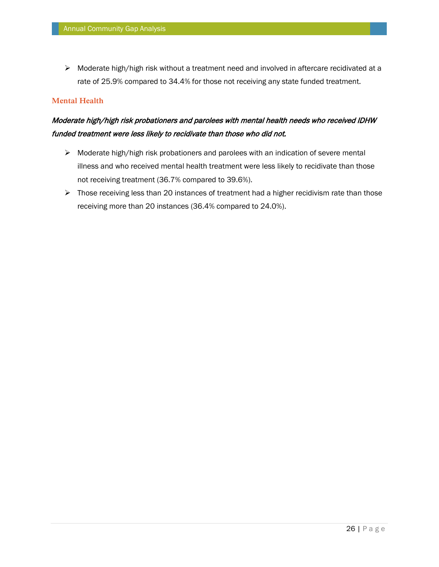$\triangleright$  Moderate high/high risk without a treatment need and involved in aftercare recidivated at a rate of 25.9% compared to 34.4% for those not receiving any state funded treatment.

#### **Mental Health**

### Moderate high/high risk probationers and parolees with mental health needs who received IDHW funded treatment were less likely to recidivate than those who did not.

- $\triangleright$  Moderate high/high risk probationers and parolees with an indication of severe mental illness and who received mental health treatment were less likely to recidivate than those not receiving treatment (36.7% compared to 39.6%).
- $\triangleright$  Those receiving less than 20 instances of treatment had a higher recidivism rate than those receiving more than 20 instances (36.4% compared to 24.0%).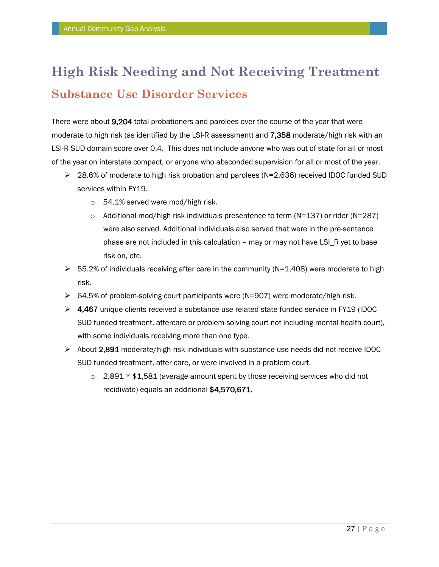# **High Risk Needing and Not Receiving Treatment Substance Use Disorder Services**

There were about 9,204 total probationers and parolees over the course of the year that were moderate to high risk (as identified by the LSI-R assessment) and 7,358 moderate/high risk with an LSI-R SUD domain score over 0.4. This does not include anyone who was out of state for all or most of the year on interstate compact, or anyone who absconded supervision for all or most of the year.

- 28.6% of moderate to high risk probation and parolees (N=2,636) received IDOC funded SUD services within FY19.
	- o 54.1% served were mod/high risk.
	- $\circ$  Additional mod/high risk individuals presentence to term (N=137) or rider (N=287) were also served. Additional individuals also served that were in the pre-sentence phase are not included in this calculation - may or may not have LSI\_R yet to base risk on, etc.
- $\triangleright$  55.2% of individuals receiving after care in the community (N=1,408) were moderate to high risk.
- $\triangleright$  64.5% of problem-solving court participants were (N=907) were moderate/high risk.
- $\triangleright$  4,467 unique clients received a substance use related state funded service in FY19 (IDOC SUD funded treatment, aftercare or problem-solving court not including mental health court), with some individuals receiving more than one type.
- $\triangleright$  About 2,891 moderate/high risk individuals with substance use needs did not receive IDOC SUD funded treatment, after care, or were involved in a problem court.
	- $\circ$  2,891  $*$  \$1,581 (average amount spent by those receiving services who did not recidivate) equals an additional \$4,570,671.